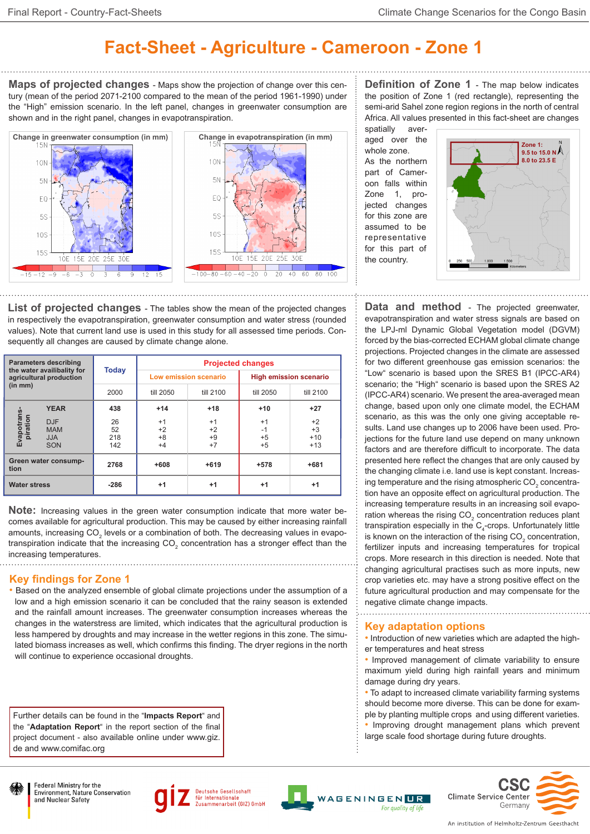# **Fact-Sheet - Agriculture - Cameroon - Zone 1**

**Maps of projected changes** - Maps show the projection of change over this century (mean of the period 2071-2100 compared to the mean of the period 1961-1990) under the "High" emission scenario. In the left panel, changes in greenwater consumption are shown and in the right panel, changes in evapotranspiration.



**List of projected changes** - The tables show the mean of the projected changes in respectively the evapotranspiration, greenwater consumption and water stress (rounded values). Note that current land use is used in this study for all assessed time periods. Consequently all changes are caused by climate change alone.

| <b>Parameters describing</b><br>the water availibality for<br>agricultural production<br>(in mm) |                                               | <b>Today</b>           | <b>Projected changes</b>     |                              |                               |                                |  |
|--------------------------------------------------------------------------------------------------|-----------------------------------------------|------------------------|------------------------------|------------------------------|-------------------------------|--------------------------------|--|
|                                                                                                  |                                               |                        | Low emission scenario        |                              | <b>High emission scenario</b> |                                |  |
|                                                                                                  |                                               | 2000                   | till 2050                    | till 2100                    | till 2050                     | till 2100                      |  |
|                                                                                                  | <b>YEAR</b>                                   | 438                    | $+14$                        | $+18$                        | $+10$                         | $+27$                          |  |
| Evapotrans-<br>piration                                                                          | <b>DJF</b><br><b>MAM</b><br><b>ALL</b><br>SON | 26<br>52<br>218<br>142 | $+1$<br>$+2$<br>$+8$<br>$+4$ | $+1$<br>$+2$<br>$+9$<br>$+7$ | $+1$<br>$-1$<br>$+5$<br>$+5$  | $+2$<br>$+3$<br>$+10$<br>$+13$ |  |
| Green water consump-<br>tion                                                                     |                                               | 2768                   | $+608$                       | $+619$                       | $+578$                        | $+681$                         |  |
| <b>Water stress</b>                                                                              |                                               | $-286$                 | $+1$                         | +1                           | $+1$                          | $+1$                           |  |

**Note:** Increasing values in the green water consumption indicate that more water becomes available for agricultural production. This may be caused by either increasing rainfall amounts, increasing CO<sub>2</sub> levels or a combination of both. The decreasing values in evapotranspiration indicate that the increasing CO<sub>2</sub> concentration has a stronger effect than the increasing temperatures.

### **Key findings for Zone 1**

• Based on the analyzed ensemble of global climate projections under the assumption of a low and a high emission scenario it can be concluded that the rainy season is extended and the rainfall amount increases. The greenwater consumption increases whereas the changes in the waterstress are limited, which indicates that the agricultural production is less hampered by droughts and may increase in the wetter regions in this zone. The simulated biomass increases as well, which confirms this finding. The dryer regions in the north will continue to experience occasional droughts.

Further details can be found in the "**Impacts Report**" and the "**Adaptation Report**" in the report section of the final project document - also available online under www.giz. de and www.comifac.org

**Definition of Zone 1** - The map below indicates the position of Zone 1 (red rectangle), representing the semi-arid Sahel zone region regions in the north of central Africa. All values presented in this fact-sheet are changes spatially aver-

aged over the whole zone. As the northern part of Cameroon falls within Zone 1, projected changes for this zone are assumed to be representative for this part of the country.



**Data and method** - The projected greenwater, evapotranspiration and water stress signals are based on the LPJ-ml Dynamic Global Vegetation model (DGVM) forced by the bias-corrected ECHAM global climate change projections. Projected changes in the climate are assessed for two different greenhouse gas emission scenarios: the "Low" scenario is based upon the SRES B1 (IPCC-AR4) scenario; the "High" scenario is based upon the SRES A2 (IPCC-AR4) scenario. We present the area-averaged mean change, based upon only one climate model, the ECHAM scenario, as this was the only one giving acceptable results. Land use changes up to 2006 have been used. Projections for the future land use depend on many unknown factors and are therefore difficult to incorporate. The data presented here reflect the changes that are only caused by the changing climate i.e. land use is kept constant. Increasing temperature and the rising atmospheric CO $_{_2}$  concentration have an opposite effect on agricultural production. The increasing temperature results in an increasing soil evaporation whereas the rising  $\text{CO}_2$  concentration reduces plant transpiration especially in the  $C_4$ -crops. Unfortunately little is known on the interaction of the rising  $\mathrm{CO}_2$  concentration, fertilizer inputs and increasing temperatures for tropical crops. More research in this direction is needed. Note that changing agricultural practises such as more inputs, new crop varieties etc. may have a strong positive effect on the future agricultural production and may compensate for the negative climate change impacts.

#### **Key adaptation options**

• Introduction of new varieties which are adapted the higher temperatures and heat stress

• Improved management of climate variability to ensure maximum yield during high rainfall years and minimum damage during dry years.

• To adapt to increased climate variability farming systems should become more diverse. This can be done for example by planting multiple crops and using different varieties. • Improving drought management plans which prevent large scale food shortage during future droughts.











**Climate Service Center** Germany

An institution of Helmholtz-Zentrum Geesthacht